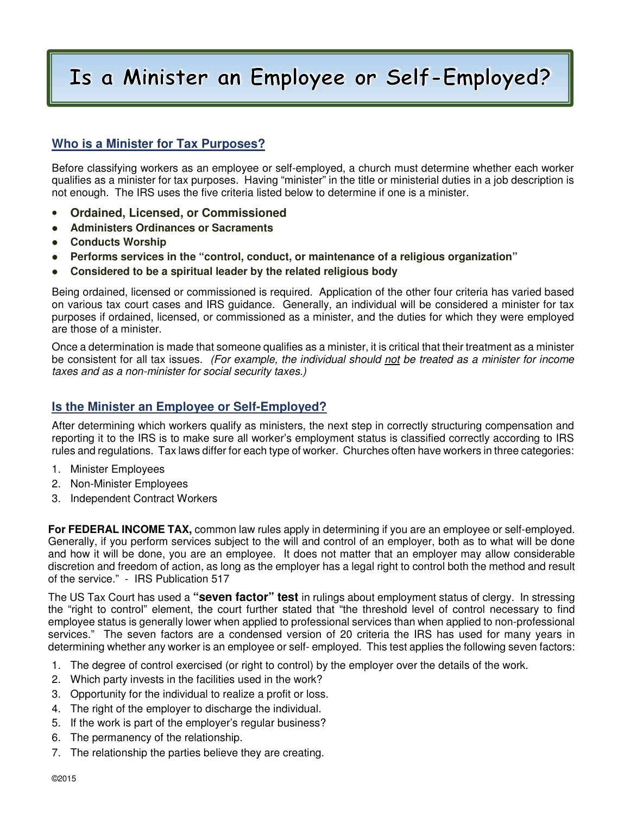## Is a Minister an Employee or Self-Employed?

## **Who is a Minister for Tax Purposes?**

Before classifying workers as an employee or self-employed, a church must determine whether each worker qualifies as a minister for tax purposes. Having "minister" in the title or ministerial duties in a job description is not enough. The IRS uses the five criteria listed below to determine if one is a minister.

- **Ordained, Licensed, or Commissioned**
- **Administers Ordinances or Sacraments**
- **Conducts Worship**
- **Performs services in the "control, conduct, or maintenance of a religious organization"**
- **Considered to be a spiritual leader by the related religious body**

Being ordained, licensed or commissioned is required. Application of the other four criteria has varied based on various tax court cases and IRS guidance. Generally, an individual will be considered a minister for tax purposes if ordained, licensed, or commissioned as a minister, and the duties for which they were employed are those of a minister.

Once a determination is made that someone qualifies as a minister, it is critical that their treatment as a minister be consistent for all tax issues. (For example, the individual should not be treated as a minister for income taxes and as a non-minister for social security taxes.)

## **Is the Minister an Employee or Self-Employed?**

After determining which workers qualify as ministers, the next step in correctly structuring compensation and reporting it to the IRS is to make sure all worker's employment status is classified correctly according to IRS rules and regulations. Tax laws differ for each type of worker. Churches often have workers in three categories:

- 1. Minister Employees
- 2. Non-Minister Employees
- 3. Independent Contract Workers

**For FEDERAL INCOME TAX,** common law rules apply in determining if you are an employee or self-employed. Generally, if you perform services subject to the will and control of an employer, both as to what will be done and how it will be done, you are an employee. It does not matter that an employer may allow considerable discretion and freedom of action, as long as the employer has a legal right to control both the method and result of the service." - IRS Publication 517

The US Tax Court has used a **"seven factor" test** in rulings about employment status of clergy. In stressing the "right to control" element, the court further stated that "the threshold level of control necessary to find employee status is generally lower when applied to professional services than when applied to non-professional services." The seven factors are a condensed version of 20 criteria the IRS has used for many years in determining whether any worker is an employee or self- employed. This test applies the following seven factors:

- 1. The degree of control exercised (or right to control) by the employer over the details of the work.
- 2. Which party invests in the facilities used in the work?
- 3. Opportunity for the individual to realize a profit or loss.
- 4. The right of the employer to discharge the individual.
- 5. If the work is part of the employer's regular business?
- 6. The permanency of the relationship.
- 7. The relationship the parties believe they are creating.